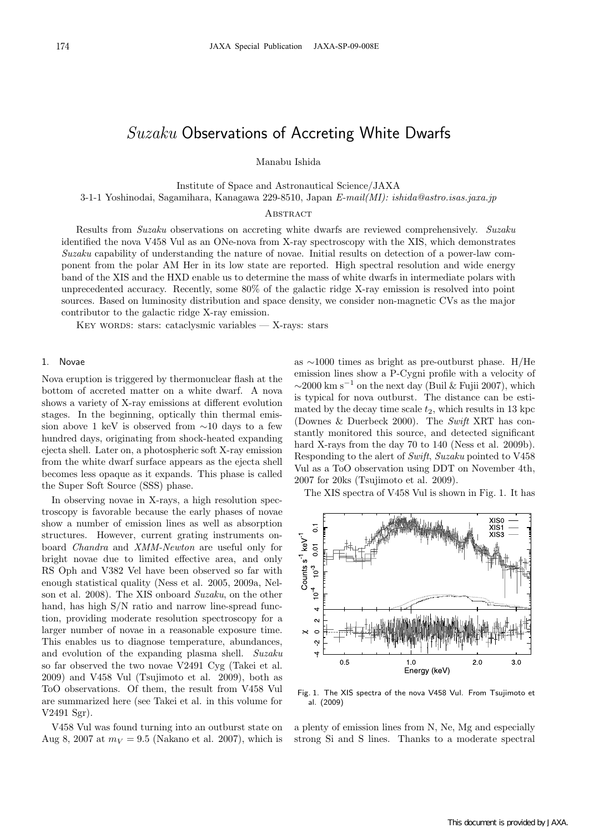# *Suzaku* Observations of Accreting White Dwarfs

Manabu Ishida

Institute of Space and Astronautical Science/JAXA

3-1-1 Yoshinodai, Sagamihara, Kanagawa 229-8510, Japan *E-mail(MI): ishida@astro.isas.jaxa.jp*

# **ABSTRACT**

Results from *Suzaku* observations on accreting white dwarfs are reviewed comprehensively. *Suzaku* identified the nova V458 Vul as an ONe-nova from X-ray spectroscopy with the XIS, which demonstrates *Suzaku* capability of understanding the nature of novae. Initial results on detection of a power-law component from the polar AM Her in its low state are reported. High spectral resolution and wide energy band of the XIS and the HXD enable us to determine the mass of white dwarfs in intermediate polars with unprecedented accuracy. Recently, some 80% of the galactic ridge X-ray emission is resolved into point sources. Based on luminosity distribution and space density, we consider non-magnetic CVs as the major contributor to the galactic ridge X-ray emission.

KEY WORDS: stars: cataclysmic variables — X-rays: stars

## 1. Novae

Nova eruption is triggered by thermonuclear flash at the bottom of accreted matter on a white dwarf. A nova shows a variety of X-ray emissions at different evolution stages. In the beginning, optically thin thermal emission above 1 keV is observed from *∼*10 days to a few hundred days, originating from shock-heated expanding ejecta shell. Later on, a photospheric soft X-ray emission from the white dwarf surface appears as the ejecta shell becomes less opaque as it expands. This phase is called the Super Soft Source (SSS) phase.

In observing novae in X-rays, a high resolution spectroscopy is favorable because the early phases of novae show a number of emission lines as well as absorption structures. However, current grating instruments onboard *Chandra* and *XMM-Newton* are useful only for bright novae due to limited effective area, and only RS Oph and V382 Vel have been observed so far with enough statistical quality (Ness et al. 2005, 2009a, Nelson et al. 2008). The XIS onboard *Suzaku*, on the other hand, has high S/N ratio and narrow line-spread function, providing moderate resolution spectroscopy for a larger number of novae in a reasonable exposure time. This enables us to diagnose temperature, abundances, and evolution of the expanding plasma shell. *Suzaku* so far observed the two novae V2491 Cyg (Takei et al. 2009) and V458 Vul (Tsujimoto et al. 2009), both as ToO observations. Of them, the result from V458 Vul are summarized here (see Takei et al. in this volume for V2491 Sgr).

V458 Vul was found turning into an outburst state on Aug 8, 2007 at  $m_V = 9.5$  (Nakano et al. 2007), which is

 $\frac{1}{9}$  0.20 as *∼*1000 times as bright as pre-outburst phase. H/He emission lines show a  $\mathbb{P}$ -Cygni profile with a velocity of  $~\sim$ 2000 km s<sup>−1</sup> on the next day (Buil & Fujii 2007), which is type cal for nova out the  $\mathbb{F}_p$  distance can be estimated by the decay time scale *t*2, which results in 13 kpc (Downes & Duerbeck  $2000$ <sub>hergy</sub> The *Swift* XRT has constantly monitored this source, and detected significant hard X-rays from the day 70 to 140 (Ness et al. 2009b). Responding to the alert of *Swift*, *Suzaku* pointed to V458 Vul as a ToO observation using DDT on November 4th, 2007 for 20ks (Tsujimoto et al. 2009).

The XIS spectra of V458 Vul is shown in Fig. 1. It has



Fig. 1. The XIS spectra of the nova V458 Vul. From Tsujimoto et al. (2009)

a plenty of emission lines from N, Ne, Mg and especially strong Si and S lines. Thanks to a moderate spectral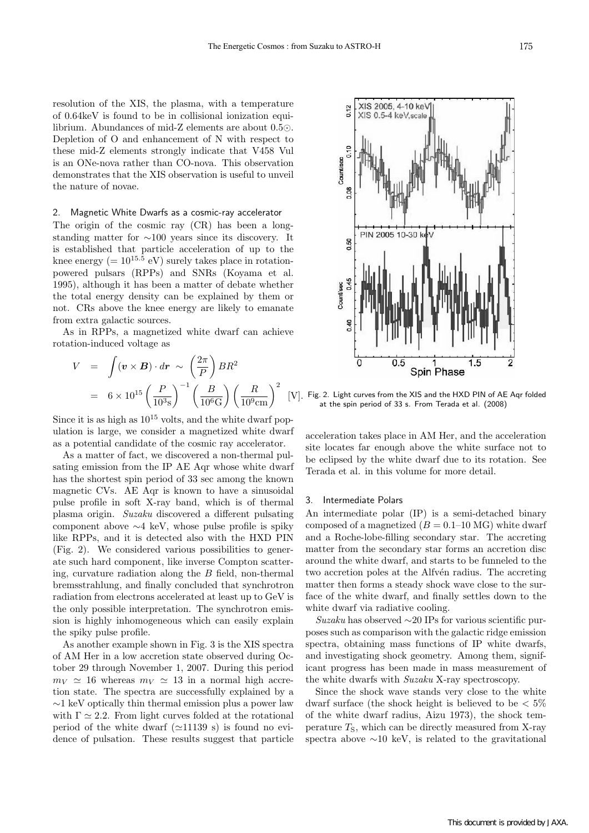resolution of the XIS, the plasma, with a temperature of 0.64keV is found to be in collisional ionization equilibrium. Abundances of mid-Z elements are about  $0.5\odot$ . Depletion of O and enhancement of N with respect to these mid-Z elements strongly indicate that V458 Vul is an ONe-nova rather than CO-nova. This observation demonstrates that the XIS observation is useful to unveil the nature of novae.

#### 2. Magnetic White Dwarfs as a cosmic-ray accelerator

The origin of the cosmic ray (CR) has been a longstanding matter for *∼*100 years since its discovery. It is established that particle acceleration of up to the knee energy ( $= 10^{15.5}$  eV) surely takes place in rotationpowered pulsars (RPPs) and SNRs (Koyama et al. 1995), although it has been a matter of debate whether the total energy density can be explained by them or not. CRs above the knee energy are likely to emanate from extra galactic sources.

As in RPPs, a magnetized white dwarf can achieve rotation-induced voltage as

$$
V = \int (\mathbf{v} \times \mathbf{B}) \cdot d\mathbf{r} \sim \left(\frac{2\pi}{P}\right) BR^2
$$
  
=  $6 \times 10^{15} \left(\frac{P}{10^3 \text{s}}\right)^{-1} \left(\frac{B}{10^6 \text{G}}\right) \left(\frac{R}{10^9 \text{cm}}\right)^2$  [V

Since it is as high as  $10^{15}$  volts, and the white dwarf population is large, we consider a magnetized white dwarf as a potential candidate of the cosmic ray accelerator.

As a matter of fact, we discovered a non-thermal pulsating emission from the IP AE Aqr whose white dwarf has the shortest spin period of 33 sec among the known magnetic CVs. AE Aqr is known to have a sinusoidal pulse profile in soft X-ray band, which is of thermal plasma origin. *Suzaku* discovered a different pulsating component above *∼*4 keV, whose pulse profile is spiky like RPPs, and it is detected also with the HXD PIN (Fig. 2). We considered various possibilities to generate such hard component, like inverse Compton scattering, curvature radiation along the *B* field, non-thermal bremsstrahlung, and finally concluded that synchrotron radiation from electrons accelerated at least up to GeV is the only possible interpretation. The synchrotron emission is highly inhomogeneous which can easily explain the spiky pulse profile.

As another example shown in Fig. 3 is the XIS spectra of AM Her in a low accretion state observed during October 29 through November 1, 2007. During this period  $m_V \simeq 16$  whereas  $m_V \simeq 13$  in a normal high accretion state. The spectra are successfully explained by a *∼*1 keV optically thin thermal emission plus a power law with  $\Gamma \simeq 2.2$ . From light curves folded at the rotational period of the white dwarf  $(\simeq 11139 \text{ s})$  is found no evidence of pulsation. These results suggest that particle



 $\left[ \mathrm{V} \right]$ . Fig. 2. Light curves from the XIS and the HXD PIN of AE Aqr folded at the spin period of 33 s. From Terada et al. (2008)

acceleration takes place in AM Her, and the acceleration site locates far enough above the white surface not to be eclipsed by the white dwarf due to its rotation. See Terada et al. in this volume for more detail.

#### 3. Intermediate Polars

An intermediate polar (IP) is a semi-detached binary composed of a magnetized  $(B = 0.1{\text -}10 \text{ MG})$  white dwarf and a Roche-lobe-filling secondary star. The accreting matter from the secondary star forms an accretion disc around the white dwarf, and starts to be funneled to the two accretion poles at the Alfvén radius. The accreting matter then forms a steady shock wave close to the surface of the white dwarf, and finally settles down to the white dwarf via radiative cooling.

*Suzaku* has observed *∼*20 IPs for various scientific purposes such as comparison with the galactic ridge emission spectra, obtaining mass functions of IP white dwarfs, and investigating shock geometry. Among them, significant progress has been made in mass measurement of the white dwarfs with *Suzaku* X-ray spectroscopy.

Since the shock wave stands very close to the white dwarf surface (the shock height is believed to be *<* 5% of the white dwarf radius, Aizu 1973), the shock temperature  $T_S$ , which can be directly measured from X-ray spectra above *∼*10 keV, is related to the gravitational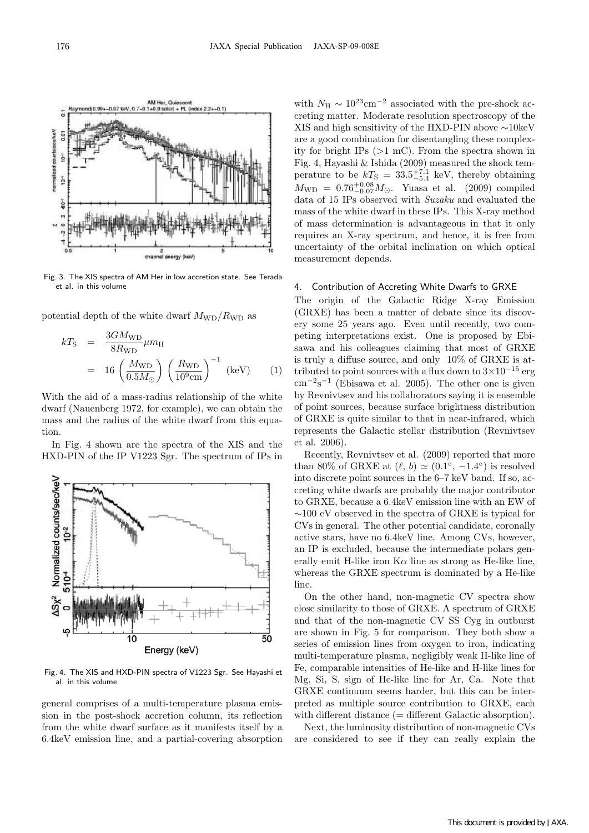

Fig. 3. The XIS spectra of AM Her in low accretion state. See Terada et al. in this volume

potential depth of the white dwarf  $M_{\text{WD}}/R_{\text{WD}}$  as

$$
kT_{\rm S} = \frac{3GM_{\rm WD}}{8R_{\rm WD}}\mu m_{\rm H}
$$
  
= 16  $\left(\frac{M_{\rm WD}}{0.5M_{\odot}}\right) \left(\frac{R_{\rm WD}}{10^9 \text{cm}}\right)^{-1}$  (keV) (1)

With the aid of a mass-radius relationship of the white dwarf (Nauenberg 1972, for example), we can obtain the mass and the radius of the white dwarf from this equation.

In Fig. 4 shown are the spectra of the XIS and the HXD-PIN of the IP V1223 Sgr. The spectrum of IPs in



Fig. 4. The XIS and HXD-PIN spectra of V1223 Sgr. See Hayashi et al. in this volume

general comprises of a multi-temperature plasma emission in the post-shock accretion column, its reflection from the white dwarf surface as it manifests itself by a 6.4keV emission line, and a partial-covering absorption

with  $N_{\rm H} \sim 10^{23} \text{cm}^{-2}$  associated with the pre-shock accreting matter. Moderate resolution spectroscopy of the XIS and high sensitivity of the HXD-PIN above *∼*10keV are a good combination for disentangling these complexity for bright IPs (*>*1 mC). From the spectra shown in Fig. 4, Hayashi & Ishida (2009) measured the shock temperature to be  $kT$ <sub>S</sub> = 33.5<sup>+7.1</sup> keV, thereby obtaining  $M_{\text{WD}} = 0.76^{+0.08}_{-0.07} M_{\odot}$ . Yuasa et al. (2009) compiled data of 15 IPs observed with *Suzaku* and evaluated the mass of the white dwarf in these IPs. This X-ray method of mass determination is advantageous in that it only requires an X-ray spectrum, and hence, it is free from uncertainty of the orbital inclination on which optical measurement depends.

## 4. Contribution of Accreting White Dwarfs to GRXE

The origin of the Galactic Ridge X-ray Emission (GRXE) has been a matter of debate since its discovery some 25 years ago. Even until recently, two competing interpretations exist. One is proposed by Ebisawa and his colleagues claiming that most of GRXE is truly a diffuse source, and only 10% of GRXE is attributed to point sources with a flux down to 3*×*10*−*<sup>15</sup> erg cm*−*<sup>2</sup>s*−*<sup>1</sup> (Ebisawa et al. 2005). The other one is given by Revnivtsev and his collaborators saying it is ensemble of point sources, because surface brightness distribution of GRXE is quite similar to that in near-infrared, which represents the Galactic stellar distribution (Revnivtsev et al. 2006).

Recently, Revnivtsev et al. (2009) reported that more than 80% of GRXE at  $(\ell, b) \simeq (0.1^\circ, -1.4^\circ)$  is resolved into discrete point sources in the 6–7 keV band. If so, accreting white dwarfs are probably the major contributor to GRXE, because a 6.4keV emission line with an EW of *∼*100 eV observed in the spectra of GRXE is typical for CVs in general. The other potential candidate, coronally active stars, have no 6.4keV line. Among CVs, however, an IP is excluded, because the intermediate polars generally emit H-like iron  $K\alpha$  line as strong as He-like line, whereas the GRXE spectrum is dominated by a He-like line.

On the other hand, non-magnetic CV spectra show close similarity to those of GRXE. A spectrum of GRXE and that of the non-magnetic CV SS Cyg in outburst are shown in Fig. 5 for comparison. They both show a series of emission lines from oxygen to iron, indicating multi-temperature plasma, negligibly weak H-like line of Fe, comparable intensities of He-like and H-like lines for Mg, Si, S, sign of He-like line for Ar, Ca. Note that GRXE continuum seems harder, but this can be interpreted as multiple source contribution to GRXE, each with different distance (= different Galactic absorption).

Next, the luminosity distribution of non-magnetic CVs are considered to see if they can really explain the